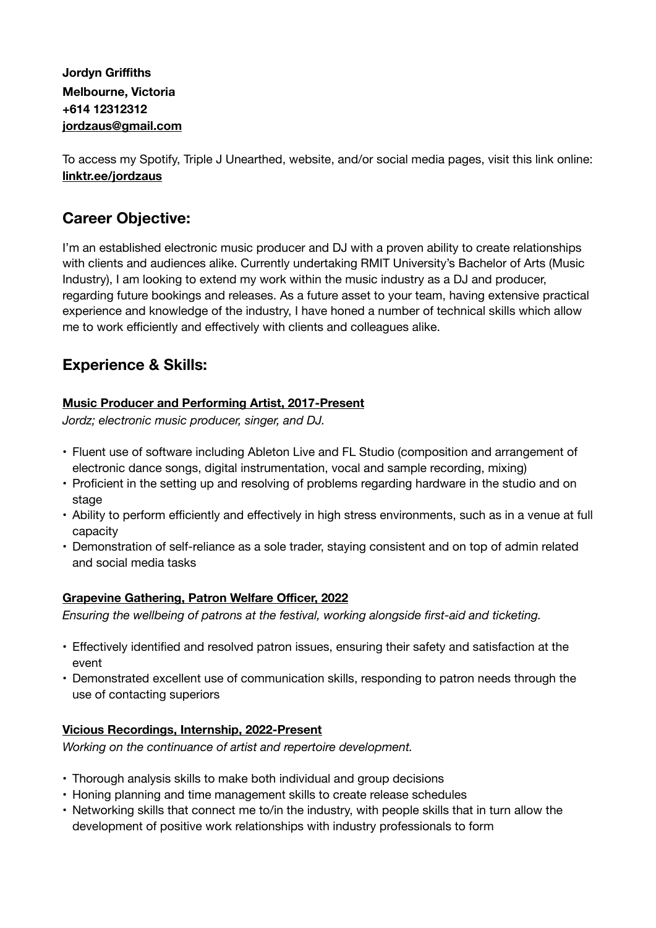### **Jordyn Griffiths Melbourne, Victoria +614 12312312 [jordzaus@gmail.com](mailto:jordzaus@gmail.com)**

To access my Spotify, Triple J Unearthed, website, and/or social media pages, visit this link online: **linktr.ee/jordzaus**

# **Career Objective:**

I'm an established electronic music producer and DJ with a proven ability to create relationships with clients and audiences alike. Currently undertaking RMIT University's Bachelor of Arts (Music Industry), I am looking to extend my work within the music industry as a DJ and producer, regarding future bookings and releases. As a future asset to your team, having extensive practical experience and knowledge of the industry, I have honed a number of technical skills which allow me to work efficiently and effectively with clients and colleagues alike.

## **Experience & Skills:**

### **Music Producer and Performing Artist, 2017-Present**

*Jordz; electronic music producer, singer, and DJ.* 

- Fluent use of software including Ableton Live and FL Studio (composition and arrangement of electronic dance songs, digital instrumentation, vocal and sample recording, mixing)
- Proficient in the setting up and resolving of problems regarding hardware in the studio and on stage
- Ability to perform efficiently and effectively in high stress environments, such as in a venue at full capacity
- Demonstration of self-reliance as a sole trader, staying consistent and on top of admin related and social media tasks

#### **Grapevine Gathering, Patron Welfare Officer, 2022**

*Ensuring the wellbeing of patrons at the festival, working alongside first-aid and ticketing.* 

- Effectively identified and resolved patron issues, ensuring their safety and satisfaction at the event
- Demonstrated excellent use of communication skills, responding to patron needs through the use of contacting superiors

#### **Vicious Recordings, Internship, 2022-Present**

*Working on the continuance of artist and repertoire development.* 

- Thorough analysis skills to make both individual and group decisions
- Honing planning and time management skills to create release schedules
- Networking skills that connect me to/in the industry, with people skills that in turn allow the development of positive work relationships with industry professionals to form